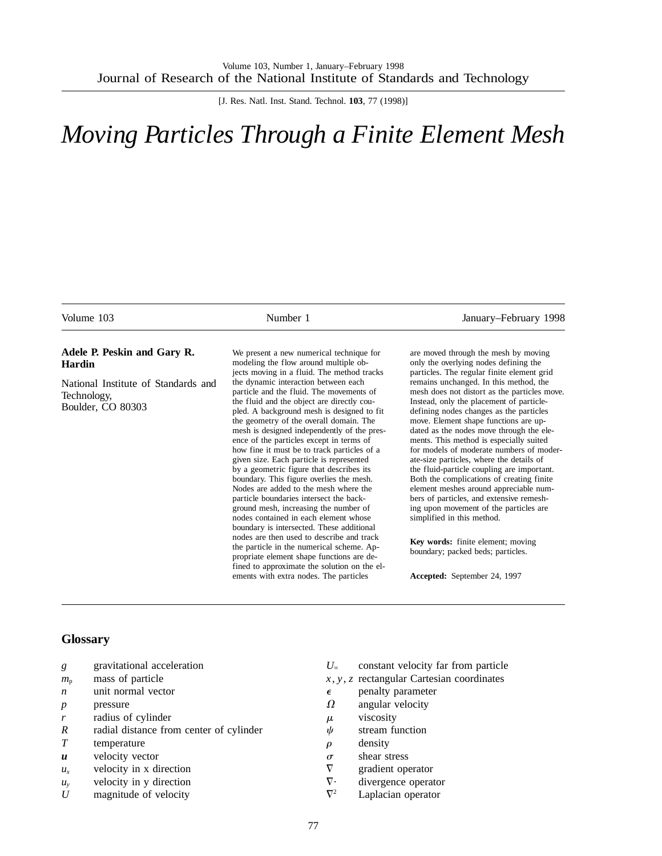[J. Res. Natl. Inst. Stand. Technol. **103**, 77 (1998)]

# *Moving Particles Through a Finite Element Mesh*

| Volume 103                                                              | Number 1                                                                                                                                                                                                                                                                                                                                                                                                                                                                                                                                                                                                                                                                                                                 | January–February 1998                                                                                                                                                                                                                                                                                                                                                                                                                                                                                                                                                                                                                                          |
|-------------------------------------------------------------------------|--------------------------------------------------------------------------------------------------------------------------------------------------------------------------------------------------------------------------------------------------------------------------------------------------------------------------------------------------------------------------------------------------------------------------------------------------------------------------------------------------------------------------------------------------------------------------------------------------------------------------------------------------------------------------------------------------------------------------|----------------------------------------------------------------------------------------------------------------------------------------------------------------------------------------------------------------------------------------------------------------------------------------------------------------------------------------------------------------------------------------------------------------------------------------------------------------------------------------------------------------------------------------------------------------------------------------------------------------------------------------------------------------|
| Adele P. Peskin and Gary R.<br><b>Hardin</b>                            | We present a new numerical technique for<br>modeling the flow around multiple ob-<br>jects moving in a fluid. The method tracks                                                                                                                                                                                                                                                                                                                                                                                                                                                                                                                                                                                          | are moved through the mesh by moving<br>only the overlying nodes defining the<br>particles. The regular finite element grid                                                                                                                                                                                                                                                                                                                                                                                                                                                                                                                                    |
| National Institute of Standards and<br>Technology,<br>Boulder, CO 80303 | the dynamic interaction between each<br>particle and the fluid. The movements of<br>the fluid and the object are directly cou-<br>pled. A background mesh is designed to fit<br>the geometry of the overall domain. The<br>mesh is designed independently of the pres-<br>ence of the particles except in terms of<br>how fine it must be to track particles of a<br>given size. Each particle is represented<br>by a geometric figure that describes its<br>boundary. This figure overlies the mesh.<br>Nodes are added to the mesh where the<br>particle boundaries intersect the back-<br>ground mesh, increasing the number of<br>nodes contained in each element whose<br>boundary is intersected. These additional | remains unchanged. In this method, the<br>mesh does not distort as the particles move.<br>Instead, only the placement of particle-<br>defining nodes changes as the particles<br>move. Element shape functions are up-<br>dated as the nodes move through the ele-<br>ments. This method is especially suited<br>for models of moderate numbers of moder-<br>ate-size particles, where the details of<br>the fluid-particle coupling are important.<br>Both the complications of creating finite<br>element meshes around appreciable num-<br>bers of particles, and extensive remesh-<br>ing upon movement of the particles are<br>simplified in this method. |
|                                                                         | nodes are then used to describe and track<br>the particle in the numerical scheme. Ap-<br>propriate element shape functions are de-                                                                                                                                                                                                                                                                                                                                                                                                                                                                                                                                                                                      | <b>Key words:</b> finite element; moving<br>boundary; packed beds; particles.                                                                                                                                                                                                                                                                                                                                                                                                                                                                                                                                                                                  |
|                                                                         | fined to approximate the solution on the el-<br>ements with extra nodes. The particles                                                                                                                                                                                                                                                                                                                                                                                                                                                                                                                                                                                                                                   | Accepted: September 24, 1997                                                                                                                                                                                                                                                                                                                                                                                                                                                                                                                                                                                                                                   |

# **Glossary**

- *g* gravitational acceleration
- $m<sub>p</sub>$  mass of particle
- *n* unit normal vector
- *p* pressure
- *r* radius of cylinder
- *R* radial distance from center of cylinder
- *T* temperature
- *u* velocity vector
- $u_x$  velocity in x direction
- *uy* velocity in y direction
- *U* magnitude of velocity
- $U_{\infty}$  constant velocity far from particle
- $x, y, z$  rectangular Cartesian coordinates
- $\epsilon$  penalty parameter
- $\Omega$  angular velocity
- $\mu$  viscosity
- $\psi$  stream function
- $\rho$  density
- $\sigma$  shear stress
- $\nabla$  gradient operator
- $\nabla$  divergence operator
- $\nabla^2$  Laplacian operator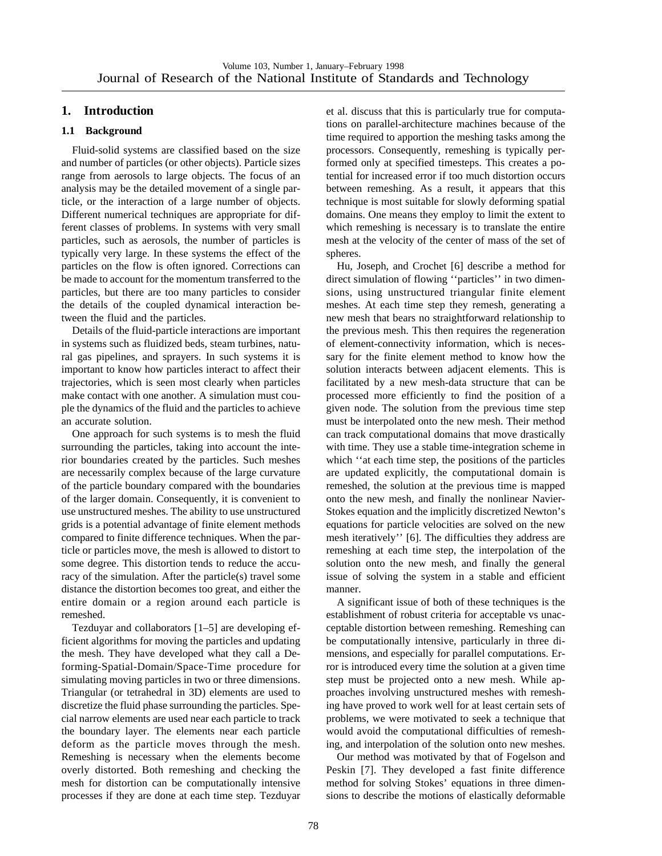# **1. Introduction**

# **1.1 Background**

Fluid-solid systems are classified based on the size and number of particles (or other objects). Particle sizes range from aerosols to large objects. The focus of an analysis may be the detailed movement of a single particle, or the interaction of a large number of objects. Different numerical techniques are appropriate for different classes of problems. In systems with very small particles, such as aerosols, the number of particles is typically very large. In these systems the effect of the particles on the flow is often ignored. Corrections can be made to account for the momentum transferred to the particles, but there are too many particles to consider the details of the coupled dynamical interaction between the fluid and the particles.

Details of the fluid-particle interactions are important in systems such as fluidized beds, steam turbines, natural gas pipelines, and sprayers. In such systems it is important to know how particles interact to affect their trajectories, which is seen most clearly when particles make contact with one another. A simulation must couple the dynamics of the fluid and the particles to achieve an accurate solution.

One approach for such systems is to mesh the fluid surrounding the particles, taking into account the interior boundaries created by the particles. Such meshes are necessarily complex because of the large curvature of the particle boundary compared with the boundaries of the larger domain. Consequently, it is convenient to use unstructured meshes. The ability to use unstructured grids is a potential advantage of finite element methods compared to finite difference techniques. When the particle or particles move, the mesh is allowed to distort to some degree. This distortion tends to reduce the accuracy of the simulation. After the particle(s) travel some distance the distortion becomes too great, and either the entire domain or a region around each particle is remeshed.

Tezduyar and collaborators [1–5] are developing efficient algorithms for moving the particles and updating the mesh. They have developed what they call a Deforming-Spatial-Domain/Space-Time procedure for simulating moving particles in two or three dimensions. Triangular (or tetrahedral in 3D) elements are used to discretize the fluid phase surrounding the particles. Special narrow elements are used near each particle to track the boundary layer. The elements near each particle deform as the particle moves through the mesh. Remeshing is necessary when the elements become overly distorted. Both remeshing and checking the mesh for distortion can be computationally intensive processes if they are done at each time step. Tezduyar

et al. discuss that this is particularly true for computations on parallel-architecture machines because of the time required to apportion the meshing tasks among the processors. Consequently, remeshing is typically performed only at specified timesteps. This creates a potential for increased error if too much distortion occurs between remeshing. As a result, it appears that this technique is most suitable for slowly deforming spatial domains. One means they employ to limit the extent to which remeshing is necessary is to translate the entire mesh at the velocity of the center of mass of the set of spheres.

Hu, Joseph, and Crochet [6] describe a method for direct simulation of flowing ''particles'' in two dimensions, using unstructured triangular finite element meshes. At each time step they remesh, generating a new mesh that bears no straightforward relationship to the previous mesh. This then requires the regeneration of element-connectivity information, which is necessary for the finite element method to know how the solution interacts between adjacent elements. This is facilitated by a new mesh-data structure that can be processed more efficiently to find the position of a given node. The solution from the previous time step must be interpolated onto the new mesh. Their method can track computational domains that move drastically with time. They use a stable time-integration scheme in which "at each time step, the positions of the particles are updated explicitly, the computational domain is remeshed, the solution at the previous time is mapped onto the new mesh, and finally the nonlinear Navier-Stokes equation and the implicitly discretized Newton's equations for particle velocities are solved on the new mesh iteratively'' [6]. The difficulties they address are remeshing at each time step, the interpolation of the solution onto the new mesh, and finally the general issue of solving the system in a stable and efficient manner.

A significant issue of both of these techniques is the establishment of robust criteria for acceptable vs unacceptable distortion between remeshing. Remeshing can be computationally intensive, particularly in three dimensions, and especially for parallel computations. Error is introduced every time the solution at a given time step must be projected onto a new mesh. While approaches involving unstructured meshes with remeshing have proved to work well for at least certain sets of problems, we were motivated to seek a technique that would avoid the computational difficulties of remeshing, and interpolation of the solution onto new meshes.

Our method was motivated by that of Fogelson and Peskin [7]. They developed a fast finite difference method for solving Stokes' equations in three dimensions to describe the motions of elastically deformable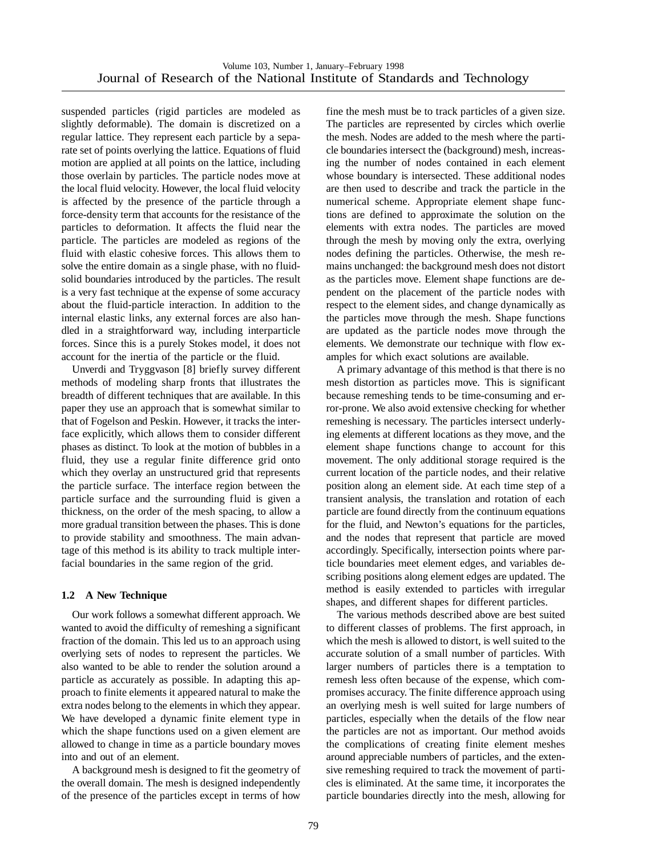suspended particles (rigid particles are modeled as slightly deformable). The domain is discretized on a regular lattice. They represent each particle by a separate set of points overlying the lattice. Equations of fluid motion are applied at all points on the lattice, including those overlain by particles. The particle nodes move at the local fluid velocity. However, the local fluid velocity is affected by the presence of the particle through a force-density term that accounts for the resistance of the particles to deformation. It affects the fluid near the particle. The particles are modeled as regions of the fluid with elastic cohesive forces. This allows them to solve the entire domain as a single phase, with no fluidsolid boundaries introduced by the particles. The result is a very fast technique at the expense of some accuracy about the fluid-particle interaction. In addition to the internal elastic links, any external forces are also handled in a straightforward way, including interparticle forces. Since this is a purely Stokes model, it does not account for the inertia of the particle or the fluid.

Unverdi and Tryggvason [8] briefly survey different methods of modeling sharp fronts that illustrates the breadth of different techniques that are available. In this paper they use an approach that is somewhat similar to that of Fogelson and Peskin. However, it tracks the interface explicitly, which allows them to consider different phases as distinct. To look at the motion of bubbles in a fluid, they use a regular finite difference grid onto which they overlay an unstructured grid that represents the particle surface. The interface region between the particle surface and the surrounding fluid is given a thickness, on the order of the mesh spacing, to allow a more gradual transition between the phases. This is done to provide stability and smoothness. The main advantage of this method is its ability to track multiple interfacial boundaries in the same region of the grid.

# **1.2 A New Technique**

Our work follows a somewhat different approach. We wanted to avoid the difficulty of remeshing a significant fraction of the domain. This led us to an approach using overlying sets of nodes to represent the particles. We also wanted to be able to render the solution around a particle as accurately as possible. In adapting this approach to finite elements it appeared natural to make the extra nodes belong to the elements in which they appear. We have developed a dynamic finite element type in which the shape functions used on a given element are allowed to change in time as a particle boundary moves into and out of an element.

A background mesh is designed to fit the geometry of the overall domain. The mesh is designed independently of the presence of the particles except in terms of how

fine the mesh must be to track particles of a given size. The particles are represented by circles which overlie the mesh. Nodes are added to the mesh where the particle boundaries intersect the (background) mesh, increasing the number of nodes contained in each element whose boundary is intersected. These additional nodes are then used to describe and track the particle in the numerical scheme. Appropriate element shape functions are defined to approximate the solution on the elements with extra nodes. The particles are moved through the mesh by moving only the extra, overlying nodes defining the particles. Otherwise, the mesh remains unchanged: the background mesh does not distort as the particles move. Element shape functions are dependent on the placement of the particle nodes with respect to the element sides, and change dynamically as the particles move through the mesh. Shape functions are updated as the particle nodes move through the elements. We demonstrate our technique with flow examples for which exact solutions are available.

A primary advantage of this method is that there is no mesh distortion as particles move. This is significant because remeshing tends to be time-consuming and error-prone. We also avoid extensive checking for whether remeshing is necessary. The particles intersect underlying elements at different locations as they move, and the element shape functions change to account for this movement. The only additional storage required is the current location of the particle nodes, and their relative position along an element side. At each time step of a transient analysis, the translation and rotation of each particle are found directly from the continuum equations for the fluid, and Newton's equations for the particles, and the nodes that represent that particle are moved accordingly. Specifically, intersection points where particle boundaries meet element edges, and variables describing positions along element edges are updated. The method is easily extended to particles with irregular shapes, and different shapes for different particles.

The various methods described above are best suited to different classes of problems. The first approach, in which the mesh is allowed to distort, is well suited to the accurate solution of a small number of particles. With larger numbers of particles there is a temptation to remesh less often because of the expense, which compromises accuracy. The finite difference approach using an overlying mesh is well suited for large numbers of particles, especially when the details of the flow near the particles are not as important. Our method avoids the complications of creating finite element meshes around appreciable numbers of particles, and the extensive remeshing required to track the movement of particles is eliminated. At the same time, it incorporates the particle boundaries directly into the mesh, allowing for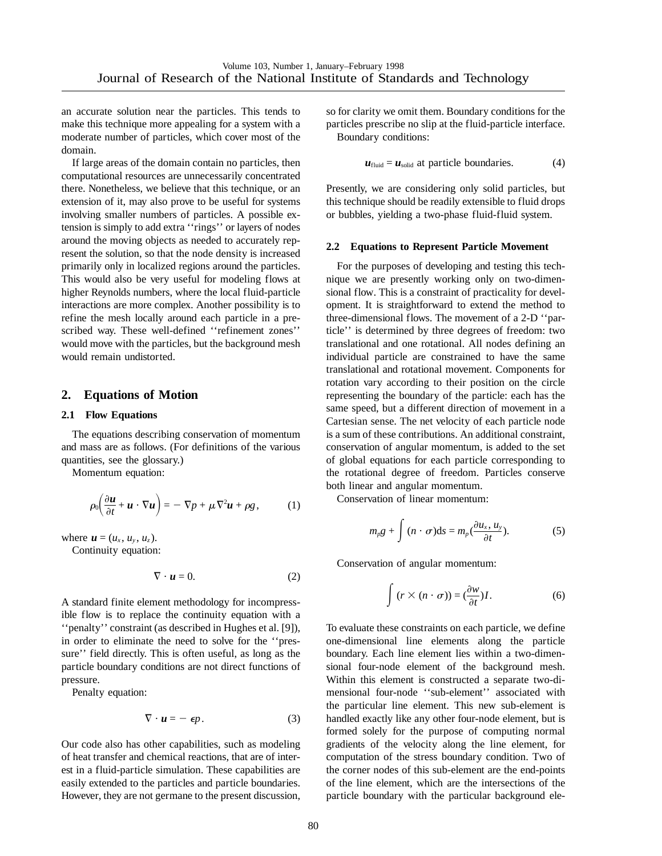an accurate solution near the particles. This tends to make this technique more appealing for a system with a moderate number of particles, which cover most of the domain.

If large areas of the domain contain no particles, then computational resources are unnecessarily concentrated there. Nonetheless, we believe that this technique, or an extension of it, may also prove to be useful for systems involving smaller numbers of particles. A possible extension is simply to add extra ''rings'' or layers of nodes around the moving objects as needed to accurately represent the solution, so that the node density is increased primarily only in localized regions around the particles. This would also be very useful for modeling flows at higher Reynolds numbers, where the local fluid-particle interactions are more complex. Another possibility is to refine the mesh locally around each particle in a prescribed way. These well-defined ''refinement zones'' would move with the particles, but the background mesh would remain undistorted.

# **2. Equations of Motion**

#### **2.1 Flow Equations**

The equations describing conservation of momentum and mass are as follows. (For definitions of the various quantities, see the glossary.)

Momentum equation:

$$
\rho_0 \bigg( \frac{\partial \boldsymbol{u}}{\partial t} + \boldsymbol{u} \cdot \nabla \boldsymbol{u} \bigg) = - \nabla p + \mu \nabla^2 \boldsymbol{u} + \rho g, \qquad (1)
$$

where  $\mathbf{u} = (u_x, u_y, u_z)$ .

Continuity equation:

$$
\nabla \cdot \mathbf{u} = 0. \tag{2}
$$

A standard finite element methodology for incompressible flow is to replace the continuity equation with a ''penalty'' constraint (as described in Hughes et al. [9]), in order to eliminate the need to solve for the ''pressure'' field directly. This is often useful, as long as the particle boundary conditions are not direct functions of pressure.

Penalty equation:

$$
\nabla \cdot \mathbf{u} = -\epsilon p. \tag{3}
$$

Our code also has other capabilities, such as modeling of heat transfer and chemical reactions, that are of interest in a fluid-particle simulation. These capabilities are easily extended to the particles and particle boundaries. However, they are not germane to the present discussion, so for clarity we omit them. Boundary conditions for the particles prescribe no slip at the fluid-particle interface. Boundary conditions:

$$
u_{\text{fluid}} = u_{\text{solid}}
$$
 at particle boundaries. (4)

Presently, we are considering only solid particles, but this technique should be readily extensible to fluid drops or bubbles, yielding a two-phase fluid-fluid system.

#### **2.2 Equations to Represent Particle Movement**

For the purposes of developing and testing this technique we are presently working only on two-dimensional flow. This is a constraint of practicality for development. It is straightforward to extend the method to three-dimensional flows. The movement of a 2-D ''particle'' is determined by three degrees of freedom: two translational and one rotational. All nodes defining an individual particle are constrained to have the same translational and rotational movement. Components for rotation vary according to their position on the circle representing the boundary of the particle: each has the same speed, but a different direction of movement in a Cartesian sense. The net velocity of each particle node is a sum of these contributions. An additional constraint, conservation of angular momentum, is added to the set of global equations for each particle corresponding to the rotational degree of freedom. Particles conserve both linear and angular momentum.

Conservation of linear momentum:

$$
m_p g + \int (n \cdot \sigma) \mathrm{d}s = m_p \left( \frac{\partial u_x}{\partial t}, u_y \right). \tag{5}
$$

Conservation of angular momentum:

$$
\int (r \times (n \cdot \sigma)) = (\frac{\partial w}{\partial t})I.
$$
 (6)

To evaluate these constraints on each particle, we define one-dimensional line elements along the particle boundary. Each line element lies within a two-dimensional four-node element of the background mesh. Within this element is constructed a separate two-dimensional four-node ''sub-element'' associated with the particular line element. This new sub-element is handled exactly like any other four-node element, but is formed solely for the purpose of computing normal gradients of the velocity along the line element, for computation of the stress boundary condition. Two of the corner nodes of this sub-element are the end-points of the line element, which are the intersections of the particle boundary with the particular background ele-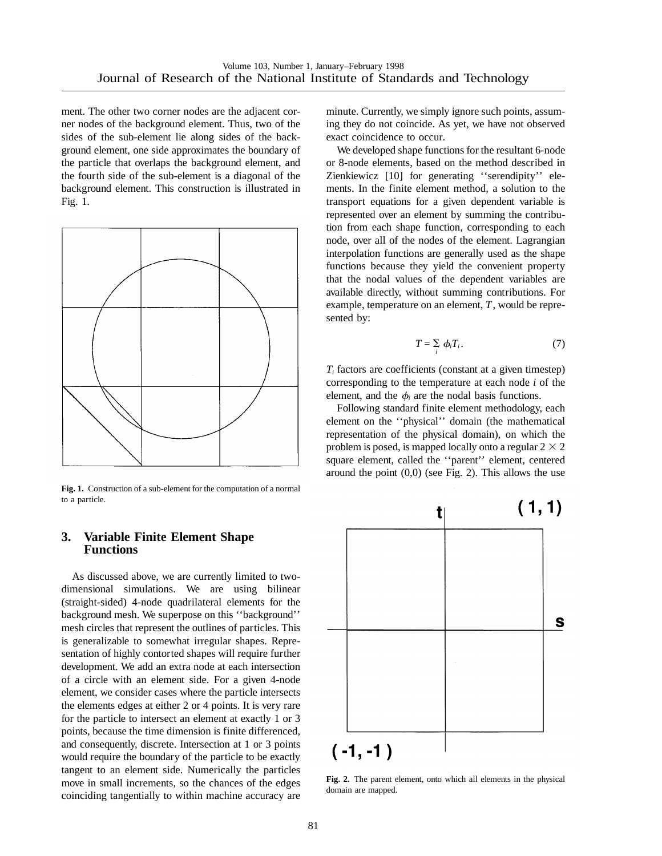ment. The other two corner nodes are the adjacent corner nodes of the background element. Thus, two of the sides of the sub-element lie along sides of the background element, one side approximates the boundary of the particle that overlaps the background element, and the fourth side of the sub-element is a diagonal of the background element. This construction is illustrated in Fig. 1.



**Fig. 1.** Construction of a sub-element for the computation of a normal to a particle.

## **3. Variable Finite Element Shape Functions**

As discussed above, we are currently limited to twodimensional simulations. We are using bilinear (straight-sided) 4-node quadrilateral elements for the background mesh. We superpose on this ''background'' mesh circles that represent the outlines of particles. This is generalizable to somewhat irregular shapes. Representation of highly contorted shapes will require further development. We add an extra node at each intersection of a circle with an element side. For a given 4-node element, we consider cases where the particle intersects the elements edges at either 2 or 4 points. It is very rare for the particle to intersect an element at exactly 1 or 3 points, because the time dimension is finite differenced, and consequently, discrete. Intersection at 1 or 3 points would require the boundary of the particle to be exactly tangent to an element side. Numerically the particles move in small increments, so the chances of the edges coinciding tangentially to within machine accuracy are

minute. Currently, we simply ignore such points, assuming they do not coincide. As yet, we have not observed exact coincidence to occur.

We developed shape functions for the resultant 6-node or 8-node elements, based on the method described in Zienkiewicz [10] for generating ''serendipity'' elements. In the finite element method, a solution to the transport equations for a given dependent variable is represented over an element by summing the contribution from each shape function, corresponding to each node, over all of the nodes of the element. Lagrangian interpolation functions are generally used as the shape functions because they yield the convenient property that the nodal values of the dependent variables are available directly, without summing contributions. For example, temperature on an element, *T*, would be represented by:

$$
T = \sum_{i} \phi_i T_i. \tag{7}
$$

 $T_i$  factors are coefficients (constant at a given timestep) corresponding to the temperature at each node *i* of the element, and the  $\phi_i$  are the nodal basis functions.

Following standard finite element methodology, each element on the ''physical'' domain (the mathematical representation of the physical domain), on which the problem is posed, is mapped locally onto a regular  $2 \times 2$ square element, called the ''parent'' element, centered around the point  $(0,0)$  (see Fig. 2). This allows the use



**Fig. 2.** The parent element, onto which all elements in the physical domain are mapped.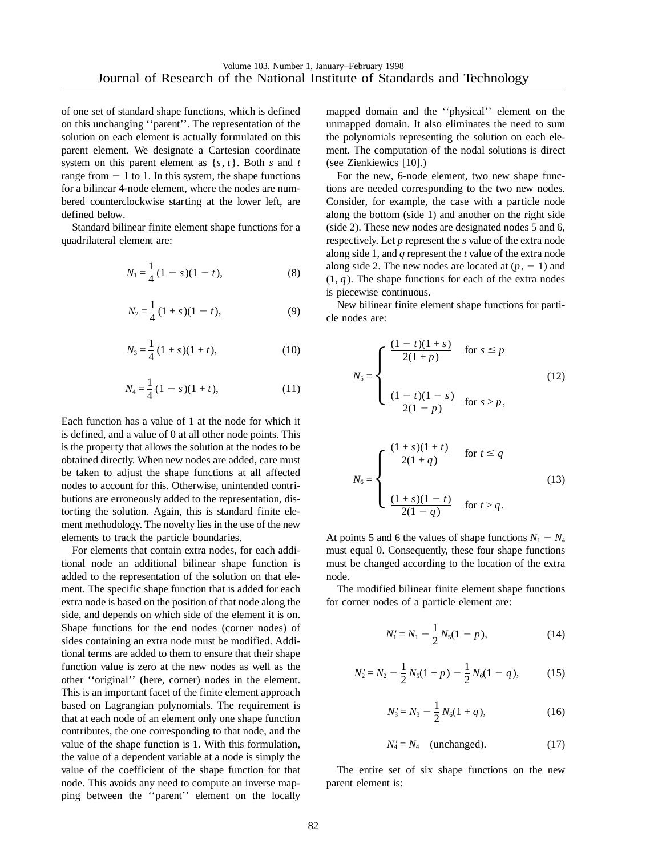of one set of standard shape functions, which is defined on this unchanging ''parent''. The representation of the solution on each element is actually formulated on this parent element. We designate a Cartesian coordinate system on this parent element as {*s*, *t*}. Both *s* and *t* range from  $-1$  to 1. In this system, the shape functions for a bilinear 4-node element, where the nodes are numbered counterclockwise starting at the lower left, are defined below.

Standard bilinear finite element shape functions for a quadrilateral element are:

$$
N_1 = \frac{1}{4} (1 - s)(1 - t),
$$
\n(8)

$$
N_2 = \frac{1}{4} (1 + s)(1 - t),
$$
\n(9)

$$
N_3 = \frac{1}{4} (1 + s)(1 + t), \tag{10}
$$

$$
N_4 = \frac{1}{4}(1-s)(1+t),\tag{11}
$$

Each function has a value of 1 at the node for which it is defined, and a value of 0 at all other node points. This is the property that allows the solution at the nodes to be obtained directly. When new nodes are added, care must be taken to adjust the shape functions at all affected nodes to account for this. Otherwise, unintended contributions are erroneously added to the representation, distorting the solution. Again, this is standard finite element methodology. The novelty lies in the use of the new elements to track the particle boundaries.

For elements that contain extra nodes, for each additional node an additional bilinear shape function is added to the representation of the solution on that element. The specific shape function that is added for each extra node is based on the position of that node along the side, and depends on which side of the element it is on. Shape functions for the end nodes (corner nodes) of sides containing an extra node must be modified. Additional terms are added to them to ensure that their shape function value is zero at the new nodes as well as the other ''original'' (here, corner) nodes in the element. This is an important facet of the finite element approach based on Lagrangian polynomials. The requirement is that at each node of an element only one shape function contributes, the one corresponding to that node, and the value of the shape function is 1. With this formulation, the value of a dependent variable at a node is simply the value of the coefficient of the shape function for that node. This avoids any need to compute an inverse mapping between the ''parent'' element on the locally

mapped domain and the ''physical'' element on the unmapped domain. It also eliminates the need to sum the polynomials representing the solution on each element. The computation of the nodal solutions is direct (see Zienkiewics [10].)

For the new, 6-node element, two new shape functions are needed corresponding to the two new nodes. Consider, for example, the case with a particle node along the bottom (side 1) and another on the right side (side 2). These new nodes are designated nodes 5 and 6, respectively. Let *p* represent the *s* value of the extra node along side 1, and *q* represent the *t* value of the extra node along side 2. The new nodes are located at  $(p, -1)$  and  $(1, q)$ . The shape functions for each of the extra nodes is piecewise continuous.

New bilinear finite element shape functions for particle nodes are:

$$
N_5 = \begin{cases} \frac{(1-t)(1+s)}{2(1+p)} & \text{for } s \le p \\ \frac{(1-t)(1-s)}{2(1-p)} & \text{for } s > p, \end{cases}
$$
 (12)

$$
N_6 = \begin{cases} \frac{(1+s)(1+t)}{2(1+q)} & \text{for } t \le q\\ \frac{(1+s)(1-t)}{2(1-q)} & \text{for } t > q. \end{cases}
$$
(13)

At points 5 and 6 the values of shape functions  $N_1 - N_4$ must equal 0. Consequently, these four shape functions must be changed according to the location of the extra node.

The modified bilinear finite element shape functions for corner nodes of a particle element are:

$$
N_1' = N_1 - \frac{1}{2} N_5 (1 - p), \tag{14}
$$

$$
N_2' = N_2 - \frac{1}{2} N_5 (1 + p) - \frac{1}{2} N_6 (1 - q), \tag{15}
$$

$$
N_3' = N_3 - \frac{1}{2} N_6 (1 + q), \tag{16}
$$

$$
N_4' = N_4 \quad \text{(unchanged)}.\tag{17}
$$

The entire set of six shape functions on the new parent element is: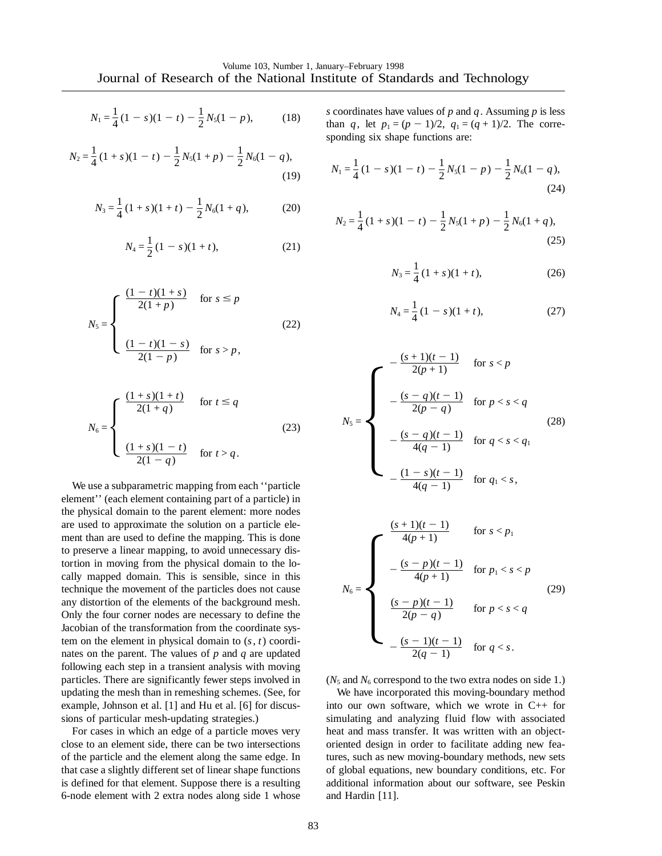$$
N_1 = \frac{1}{4}(1-s)(1-t) - \frac{1}{2}N_5(1-p),
$$
 (18)

$$
N_2 = \frac{1}{4}(1+s)(1-t) - \frac{1}{2}N_5(1+p) - \frac{1}{2}N_6(1-q),
$$
\n(19)

$$
N_3 = \frac{1}{4}(1+s)(1+t) - \frac{1}{2}N_6(1+q),
$$
 (20)

$$
N_4 = \frac{1}{2}(1-s)(1+t),
$$
 (21)

$$
N_5 = \begin{cases} \frac{(1-t)(1+s)}{2(1+p)} & \text{for } s \le p \\ \frac{(1-t)(1-s)}{2(1-p)} & \text{for } s > p, \end{cases}
$$
 (22)

$$
N_6 = \begin{cases} \frac{(1+s)(1+t)}{2(1+q)} & \text{for } t \le q\\ \frac{(1+s)(1-t)}{2(1-q)} & \text{for } t > q. \end{cases}
$$
 (23)

We use a subparametric mapping from each ''particle element'' (each element containing part of a particle) in the physical domain to the parent element: more nodes are used to approximate the solution on a particle element than are used to define the mapping. This is done to preserve a linear mapping, to avoid unnecessary distortion in moving from the physical domain to the locally mapped domain. This is sensible, since in this technique the movement of the particles does not cause any distortion of the elements of the background mesh. Only the four corner nodes are necessary to define the Jacobian of the transformation from the coordinate system on the element in physical domain to (*s*, *t*) coordinates on the parent. The values of *p* and *q* are updated following each step in a transient analysis with moving particles. There are significantly fewer steps involved in updating the mesh than in remeshing schemes. (See, for example, Johnson et al. [1] and Hu et al. [6] for discussions of particular mesh-updating strategies.)

For cases in which an edge of a particle moves very close to an element side, there can be two intersections of the particle and the element along the same edge. In that case a slightly different set of linear shape functions is defined for that element. Suppose there is a resulting 6-node element with 2 extra nodes along side 1 whose

*s* coordinates have values of *p* and *q*. Assuming *p* is less than *q*, let  $p_1 = (p - 1)/2$ ,  $q_1 = (q + 1)/2$ . The corresponding six shape functions are:

$$
N_1 = \frac{1}{4}(1-s)(1-t) - \frac{1}{2}N_5(1-p) - \frac{1}{2}N_6(1-q),
$$
\n(24)

$$
N_2 = \frac{1}{4}(1+s)(1-t) - \frac{1}{2}N_5(1+p) - \frac{1}{2}N_6(1+q),
$$
\n(25)

$$
N_3 = \frac{1}{4} (1 + s)(1 + t),
$$
 (26)

$$
N_4 = \frac{1}{4}(1 - s)(1 + t),\tag{27}
$$

$$
N_5 = \begin{cases}\n-\frac{(s+1)(t-1)}{2(p+1)} & \text{for } s < p \\
-\frac{(s-q)(t-1)}{2(p-q)} & \text{for } p < s < q \\
-\frac{(s-q)(t-1)}{4(q-1)} & \text{for } q < s < q_1 \\
-\frac{(1-s)(t-1)}{4(q-1)} & \text{for } q_1 < s,\n\end{cases}
$$
\n
$$
\frac{(s+1)(t-1)}{4(p+1)} & \text{for } s < p_1 \\
-\frac{(s-p)(t-1)}{4(p+1)} & \text{for } p_1 < s < p_2
$$

$$
N_6 = \begin{cases}\n-\frac{(s-p)(t-1)}{4(p+1)} & \text{for } p_1 < s < p \\
\frac{(s-p)(t-1)}{2(p-q)} & \text{for } p < s < q \\
-\frac{(s-1)(t-1)}{2(q-1)} & \text{for } q < s.\n\end{cases}
$$
\n(29)

 $(N_5 \text{ and } N_6 \text{ correspond to the two extra nodes on side 1.)$ 

We have incorporated this moving-boundary method into our own software, which we wrote in C++ for simulating and analyzing fluid flow with associated heat and mass transfer. It was written with an objectoriented design in order to facilitate adding new features, such as new moving-boundary methods, new sets of global equations, new boundary conditions, etc. For additional information about our software, see Peskin and Hardin [11].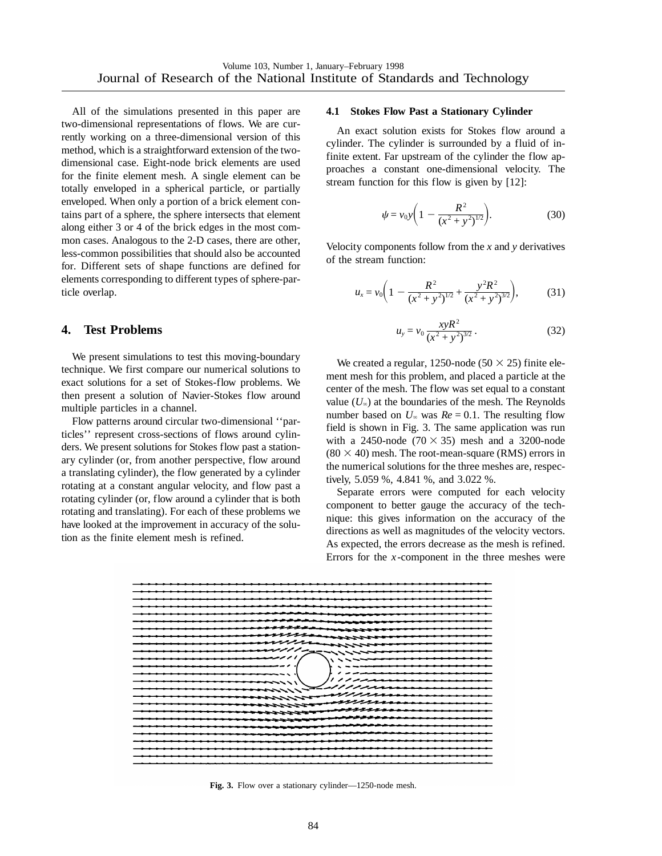All of the simulations presented in this paper are two-dimensional representations of flows. We are currently working on a three-dimensional version of this method, which is a straightforward extension of the twodimensional case. Eight-node brick elements are used for the finite element mesh. A single element can be totally enveloped in a spherical particle, or partially enveloped. When only a portion of a brick element contains part of a sphere, the sphere intersects that element along either 3 or 4 of the brick edges in the most common cases. Analogous to the 2-D cases, there are other, less-common possibilities that should also be accounted for. Different sets of shape functions are defined for elements corresponding to different types of sphere-particle overlap.

## **4. Test Problems**

We present simulations to test this moving-boundary technique. We first compare our numerical solutions to exact solutions for a set of Stokes-flow problems. We then present a solution of Navier-Stokes flow around multiple particles in a channel.

Flow patterns around circular two-dimensional ''particles'' represent cross-sections of flows around cylinders. We present solutions for Stokes flow past a stationary cylinder (or, from another perspective, flow around a translating cylinder), the flow generated by a cylinder rotating at a constant angular velocity, and flow past a rotating cylinder (or, flow around a cylinder that is both rotating and translating). For each of these problems we have looked at the improvement in accuracy of the solution as the finite element mesh is refined.

#### **4.1 Stokes Flow Past a Stationary Cylinder**

An exact solution exists for Stokes flow around a cylinder. The cylinder is surrounded by a fluid of infinite extent. Far upstream of the cylinder the flow approaches a constant one-dimensional velocity. The stream function for this flow is given by [12]:

$$
\psi = v_0 y \bigg( 1 - \frac{R^2}{(x^2 + y^2)^{1/2}} \bigg). \tag{30}
$$

Velocity components follow from the *x* and *y* derivatives of the stream function:

$$
u_x = v_0 \bigg( 1 - \frac{R^2}{(x^2 + y^2)^{1/2}} + \frac{y^2 R^2}{(x^2 + y^2)^{3/2}} \bigg), \tag{31}
$$

$$
u_y = v_0 \frac{xyR^2}{(x^2 + y^2)^{3/2}}.
$$
 (32)

We created a regular, 1250-node (50  $\times$  25) finite element mesh for this problem, and placed a particle at the center of the mesh. The flow was set equal to a constant value  $(U_\infty)$  at the boundaries of the mesh. The Reynolds number based on  $U_{\infty}$  was  $Re = 0.1$ . The resulting flow field is shown in Fig. 3. The same application was run with a 2450-node  $(70 \times 35)$  mesh and a 3200-node  $(80 \times 40)$  mesh. The root-mean-square (RMS) errors in the numerical solutions for the three meshes are, respectively, 5.059 %, 4.841 %, and 3.022 %.

Separate errors were computed for each velocity component to better gauge the accuracy of the technique: this gives information on the accuracy of the directions as well as magnitudes of the velocity vectors. As expected, the errors decrease as the mesh is refined. Errors for the  $x$ -component in the three meshes were



**Fig. 3.** Flow over a stationary cylinder—1250-node mesh.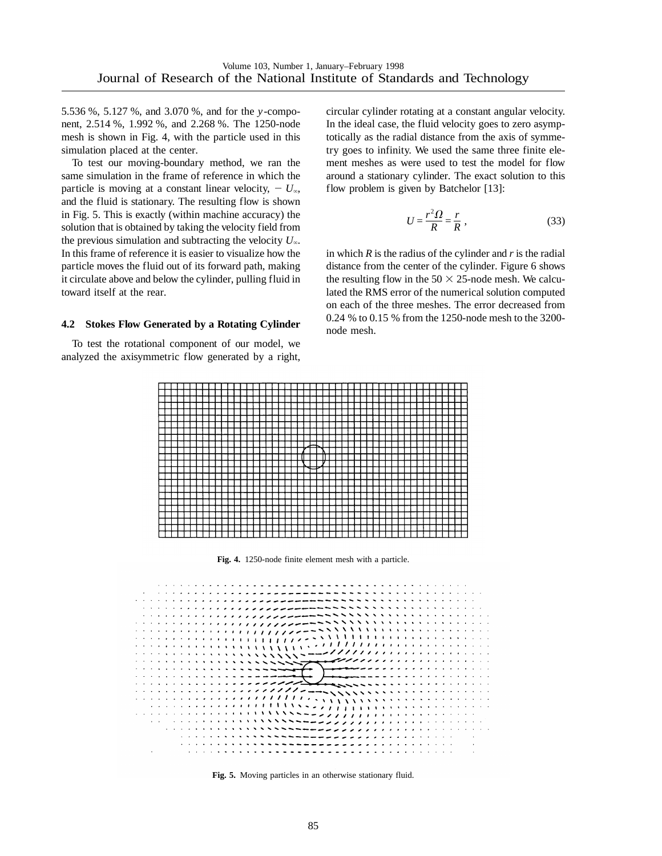5.536 %, 5.127 %, and 3.070 %, and for the *y* -component, 2.514 %, 1.992 %, and 2.268 %. The 1250-node mesh is shown in Fig. 4, with the particle used in this simulation placed at the center.

To test our moving-boundary method, we ran the same simulation in the frame of reference in which the particle is moving at a constant linear velocity,  $- U_{\infty}$ , and the fluid is stationary. The resulting flow is shown in Fig. 5. This is exactly (within machine accuracy) the solution that is obtained by taking the velocity field from the previous simulation and subtracting the velocity  $U_\infty$ . In this frame of reference it is easier to visualize how the particle moves the fluid out of its forward path, making it circulate above and below the cylinder, pulling fluid in toward itself at the rear.

#### **4.2 Stokes Flow Generated by a Rotating Cylinder**

To test the rotational component of our model, we analyzed the axisymmetric flow generated by a right,

circular cylinder rotating at a constant angular velocity. In the ideal case, the fluid velocity goes to zero asymptotically as the radial distance from the axis of symmetry goes to infinity. We used the same three finite element meshes as were used to test the model for flow around a stationary cylinder. The exact solution to this flow problem is given by Batchelor [13]:

$$
U = \frac{r^2 \Omega}{R} = \frac{r}{R} \,,\tag{33}
$$

in which *R* is the radius of the cylinder and *r* is the radial distance from the center of the cylinder. Figure 6 shows the resulting flow in the  $50 \times 25$ -node mesh. We calculated the RMS error of the numerical solution computed on each of the three meshes. The error decreased from 0.24 % to 0.15 % from the 1250-node mesh to the 3200 node mesh.



**Fig. 4.** 1250-node finite element mesh with a particle.



**Fig. 5.** Moving particles in an otherwise stationary fluid.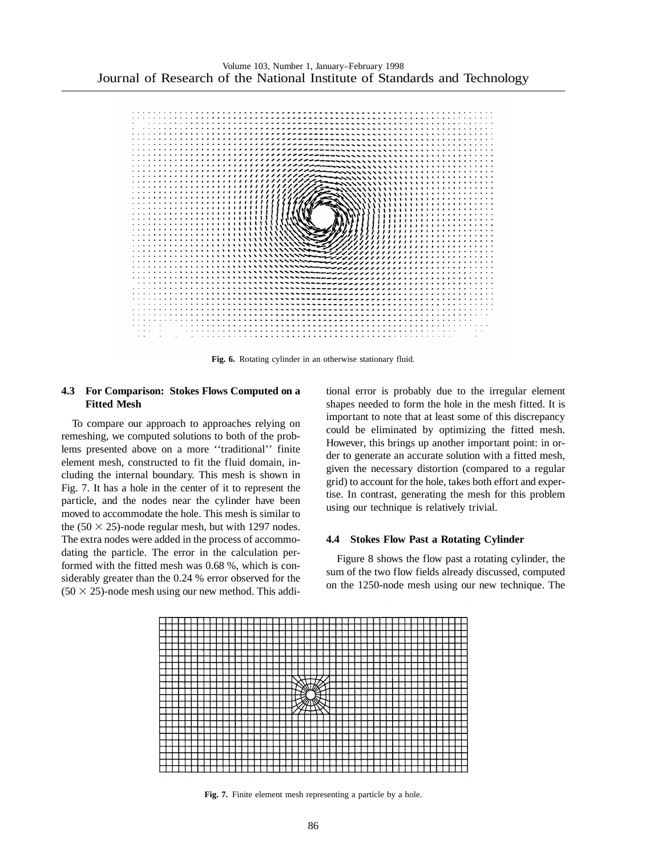

**Fig. 6.** Rotating cylinder in an otherwise stationary fluid.

## **4.3 For Comparison: Stokes Flows Computed on a Fitted Mesh**

To compare our approach to approaches relying on remeshing, we computed solutions to both of the problems presented above on a more ''traditional'' finite element mesh, constructed to fit the fluid domain, including the internal boundary. This mesh is shown in Fig. 7. It has a hole in the center of it to represent the particle, and the nodes near the cylinder have been moved to accommodate the hole. This mesh is similar to the  $(50 \times 25)$ -node regular mesh, but with 1297 nodes. The extra nodes were added in the process of accommodating the particle. The error in the calculation performed with the fitted mesh was 0.68 %, which is considerably greater than the 0.24 % error observed for the  $(50 \times 25)$ -node mesh using our new method. This additional error is probably due to the irregular element shapes needed to form the hole in the mesh fitted. It is important to note that at least some of this discrepancy could be eliminated by optimizing the fitted mesh. However, this brings up another important point: in order to generate an accurate solution with a fitted mesh, given the necessary distortion (compared to a regular grid) to account for the hole, takes both effort and expertise. In contrast, generating the mesh for this problem using our technique is relatively trivial.

## **4.4 Stokes Flow Past a Rotating Cylinder**

Figure 8 shows the flow past a rotating cylinder, the sum of the two flow fields already discussed, computed on the 1250-node mesh using our new technique. The



**Fig. 7.** Finite element mesh representing a particle by a hole.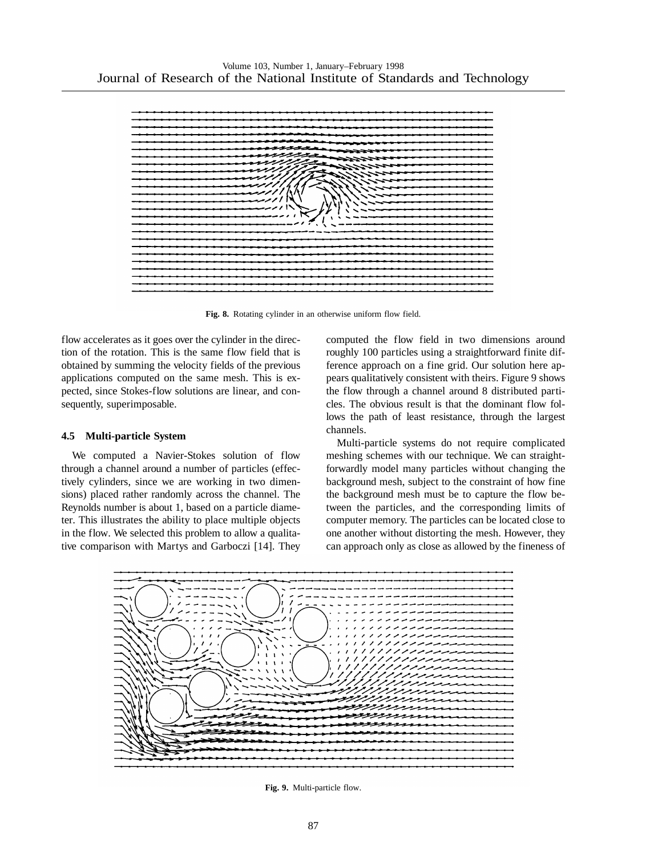

**Fig. 8.** Rotating cylinder in an otherwise uniform flow field.

flow accelerates as it goes over the cylinder in the direction of the rotation. This is the same flow field that is obtained by summing the velocity fields of the previous applications computed on the same mesh. This is expected, since Stokes-flow solutions are linear, and consequently, superimposable.

## **4.5 Multi-particle System**

We computed a Navier-Stokes solution of flow through a channel around a number of particles (effectively cylinders, since we are working in two dimensions) placed rather randomly across the channel. The Reynolds number is about 1, based on a particle diameter. This illustrates the ability to place multiple objects in the flow. We selected this problem to allow a qualitative comparison with Martys and Garboczi [14]. They computed the flow field in two dimensions around roughly 100 particles using a straightforward finite difference approach on a fine grid. Our solution here appears qualitatively consistent with theirs. Figure 9 shows the flow through a channel around 8 distributed particles. The obvious result is that the dominant flow follows the path of least resistance, through the largest channels.

Multi-particle systems do not require complicated meshing schemes with our technique. We can straightforwardly model many particles without changing the background mesh, subject to the constraint of how fine the background mesh must be to capture the flow between the particles, and the corresponding limits of computer memory. The particles can be located close to one another without distorting the mesh. However, they can approach only as close as allowed by the fineness of



**Fig. 9.** Multi-particle flow.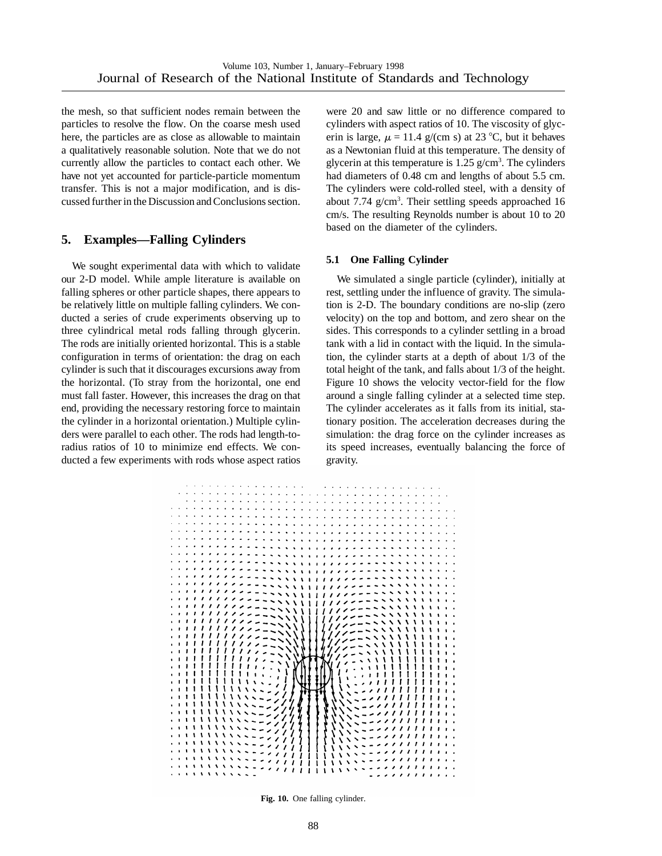the mesh, so that sufficient nodes remain between the particles to resolve the flow. On the coarse mesh used here, the particles are as close as allowable to maintain a qualitatively reasonable solution. Note that we do not currently allow the particles to contact each other. We have not yet accounted for particle-particle momentum transfer. This is not a major modification, and is discussed further in the Discussion and Conclusions section.

# **5. Examples—Falling Cylinders**

We sought experimental data with which to validate our 2-D model. While ample literature is available on falling spheres or other particle shapes, there appears to be relatively little on multiple falling cylinders. We conducted a series of crude experiments observing up to three cylindrical metal rods falling through glycerin. The rods are initially oriented horizontal. This is a stable configuration in terms of orientation: the drag on each cylinder is such that it discourages excursions away from the horizontal. (To stray from the horizontal, one end must fall faster. However, this increases the drag on that end, providing the necessary restoring force to maintain the cylinder in a horizontal orientation.) Multiple cylinders were parallel to each other. The rods had length-toradius ratios of 10 to minimize end effects. We conducted a few experiments with rods whose aspect ratios

were 20 and saw little or no difference compared to cylinders with aspect ratios of 10. The viscosity of glycerin is large,  $\mu = 11.4$  g/(cm s) at 23 °C, but it behaves as a Newtonian fluid at this temperature. The density of glycerin at this temperature is  $1.25$  g/cm<sup>3</sup>. The cylinders had diameters of 0.48 cm and lengths of about 5.5 cm. The cylinders were cold-rolled steel, with a density of about 7.74 g/cm<sup>3</sup>. Their settling speeds approached 16 cm/s. The resulting Reynolds number is about 10 to 20 based on the diameter of the cylinders.

## **5.1 One Falling Cylinder**

We simulated a single particle (cylinder), initially at rest, settling under the influence of gravity. The simulation is 2-D. The boundary conditions are no-slip (zero velocity) on the top and bottom, and zero shear on the sides. This corresponds to a cylinder settling in a broad tank with a lid in contact with the liquid. In the simulation, the cylinder starts at a depth of about 1/3 of the total height of the tank, and falls about 1/3 of the height. Figure 10 shows the velocity vector-field for the flow around a single falling cylinder at a selected time step. The cylinder accelerates as it falls from its initial, stationary position. The acceleration decreases during the simulation: the drag force on the cylinder increases as its speed increases, eventually balancing the force of gravity.



**Fig. 10.** One falling cylinder.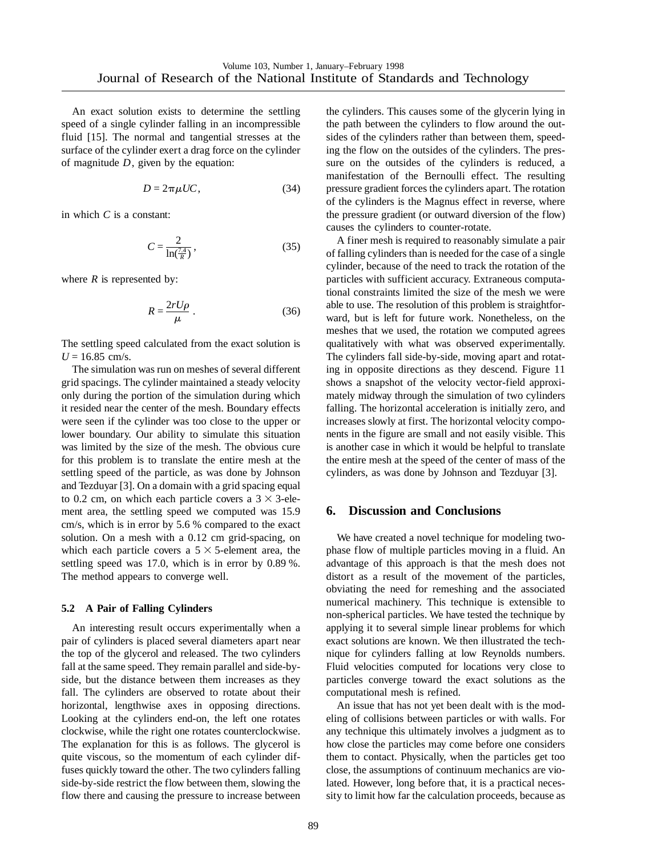An exact solution exists to determine the settling speed of a single cylinder falling in an incompressible fluid [15]. The normal and tangential stresses at the surface of the cylinder exert a drag force on the cylinder of magnitude *D*, given by the equation:

$$
D = 2\pi \mu U C, \qquad (34)
$$

in which *C* is a constant:

$$
C = \frac{2}{\ln\left(\frac{7.4}{R}\right)}\,,\tag{35}
$$

where  $R$  is represented by:

$$
R = \frac{2rU\rho}{\mu} \,. \tag{36}
$$

The settling speed calculated from the exact solution is  $U = 16.85$  cm/s.

The simulation was run on meshes of several different grid spacings. The cylinder maintained a steady velocity only during the portion of the simulation during which it resided near the center of the mesh. Boundary effects were seen if the cylinder was too close to the upper or lower boundary. Our ability to simulate this situation was limited by the size of the mesh. The obvious cure for this problem is to translate the entire mesh at the settling speed of the particle, as was done by Johnson and Tezduyar [3]. On a domain with a grid spacing equal to 0.2 cm, on which each particle covers a  $3 \times 3$ -element area, the settling speed we computed was 15.9 cm/s, which is in error by 5.6 % compared to the exact solution. On a mesh with a 0.12 cm grid-spacing, on which each particle covers a  $5 \times 5$ -element area, the settling speed was 17.0, which is in error by 0.89 %. The method appears to converge well.

#### **5.2 A Pair of Falling Cylinders**

An interesting result occurs experimentally when a pair of cylinders is placed several diameters apart near the top of the glycerol and released. The two cylinders fall at the same speed. They remain parallel and side-byside, but the distance between them increases as they fall. The cylinders are observed to rotate about their horizontal, lengthwise axes in opposing directions. Looking at the cylinders end-on, the left one rotates clockwise, while the right one rotates counterclockwise. The explanation for this is as follows. The glycerol is quite viscous, so the momentum of each cylinder diffuses quickly toward the other. The two cylinders falling side-by-side restrict the flow between them, slowing the flow there and causing the pressure to increase between the cylinders. This causes some of the glycerin lying in the path between the cylinders to flow around the outsides of the cylinders rather than between them, speeding the flow on the outsides of the cylinders. The pressure on the outsides of the cylinders is reduced, a manifestation of the Bernoulli effect. The resulting pressure gradient forces the cylinders apart. The rotation of the cylinders is the Magnus effect in reverse, where the pressure gradient (or outward diversion of the flow) causes the cylinders to counter-rotate.

A finer mesh is required to reasonably simulate a pair of falling cylinders than is needed for the case of a single cylinder, because of the need to track the rotation of the particles with sufficient accuracy. Extraneous computational constraints limited the size of the mesh we were able to use. The resolution of this problem is straightforward, but is left for future work. Nonetheless, on the meshes that we used, the rotation we computed agrees qualitatively with what was observed experimentally. The cylinders fall side-by-side, moving apart and rotating in opposite directions as they descend. Figure 11 shows a snapshot of the velocity vector-field approximately midway through the simulation of two cylinders falling. The horizontal acceleration is initially zero, and increases slowly at first. The horizontal velocity components in the figure are small and not easily visible. This is another case in which it would be helpful to translate the entire mesh at the speed of the center of mass of the cylinders, as was done by Johnson and Tezduyar [3].

## **6. Discussion and Conclusions**

We have created a novel technique for modeling twophase flow of multiple particles moving in a fluid. An advantage of this approach is that the mesh does not distort as a result of the movement of the particles, obviating the need for remeshing and the associated numerical machinery. This technique is extensible to non-spherical particles. We have tested the technique by applying it to several simple linear problems for which exact solutions are known. We then illustrated the technique for cylinders falling at low Reynolds numbers. Fluid velocities computed for locations very close to particles converge toward the exact solutions as the computational mesh is refined.

An issue that has not yet been dealt with is the modeling of collisions between particles or with walls. For any technique this ultimately involves a judgment as to how close the particles may come before one considers them to contact. Physically, when the particles get too close, the assumptions of continuum mechanics are violated. However, long before that, it is a practical necessity to limit how far the calculation proceeds, because as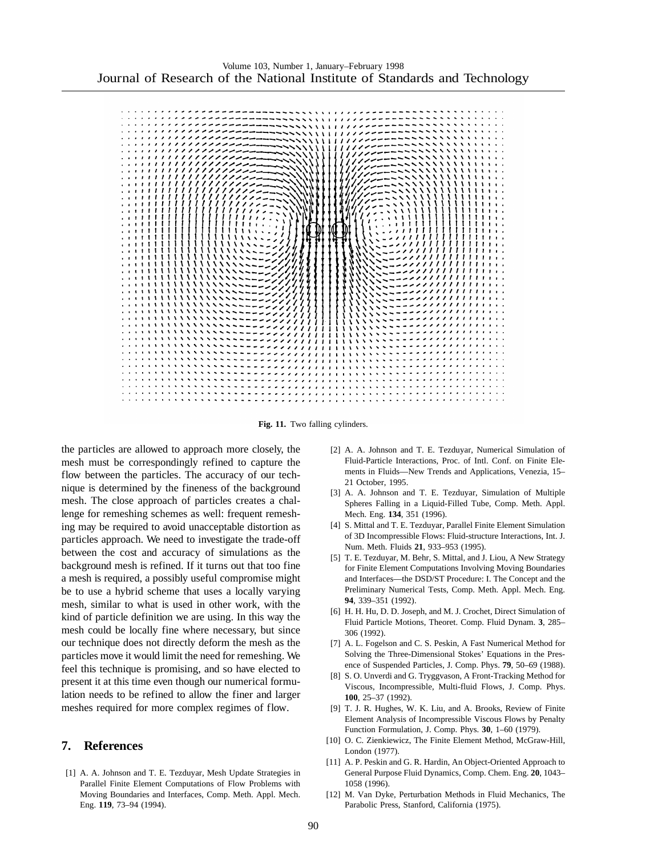

**Fig. 11.** Two falling cylinders.

the particles are allowed to approach more closely, the mesh must be correspondingly refined to capture the flow between the particles. The accuracy of our technique is determined by the fineness of the background mesh. The close approach of particles creates a challenge for remeshing schemes as well: frequent remeshing may be required to avoid unacceptable distortion as particles approach. We need to investigate the trade-off between the cost and accuracy of simulations as the background mesh is refined. If it turns out that too fine a mesh is required, a possibly useful compromise might be to use a hybrid scheme that uses a locally varying mesh, similar to what is used in other work, with the kind of particle definition we are using. In this way the mesh could be locally fine where necessary, but since our technique does not directly deform the mesh as the particles move it would limit the need for remeshing. We feel this technique is promising, and so have elected to present it at this time even though our numerical formulation needs to be refined to allow the finer and larger meshes required for more complex regimes of flow.

## **7. References**

[1] A. A. Johnson and T. E. Tezduyar, Mesh Update Strategies in Parallel Finite Element Computations of Flow Problems with Moving Boundaries and Interfaces, Comp. Meth. Appl. Mech. Eng. **119**, 73–94 (1994).

- [2] A. A. Johnson and T. E. Tezduyar, Numerical Simulation of Fluid-Particle Interactions, Proc. of Intl. Conf. on Finite Elements in Fluids—New Trends and Applications, Venezia, 15– 21 October, 1995.
- [3] A. A. Johnson and T. E. Tezduyar, Simulation of Multiple Spheres Falling in a Liquid-Filled Tube, Comp. Meth. Appl. Mech. Eng. **134**, 351 (1996).
- [4] S. Mittal and T. E. Tezduyar, Parallel Finite Element Simulation of 3D Incompressible Flows: Fluid-structure Interactions, Int. J. Num. Meth. Fluids **21**, 933–953 (1995).
- [5] T. E. Tezduyar, M. Behr, S. Mittal, and J. Liou, A New Strategy for Finite Element Computations Involving Moving Boundaries and Interfaces—the DSD/ST Procedure: I. The Concept and the Preliminary Numerical Tests, Comp. Meth. Appl. Mech. Eng. **94**, 339–351 (1992).
- [6] H. H. Hu, D. D. Joseph, and M. J. Crochet, Direct Simulation of Fluid Particle Motions, Theoret. Comp. Fluid Dynam. **3**, 285– 306 (1992).
- [7] A. L. Fogelson and C. S. Peskin, A Fast Numerical Method for Solving the Three-Dimensional Stokes' Equations in the Presence of Suspended Particles, J. Comp. Phys. **79**, 50–69 (1988).
- [8] S. O. Unverdi and G. Tryggvason, A Front-Tracking Method for Viscous, Incompressible, Multi-fluid Flows, J. Comp. Phys. **100**, 25–37 (1992).
- [9] T. J. R. Hughes, W. K. Liu, and A. Brooks, Review of Finite Element Analysis of Incompressible Viscous Flows by Penalty Function Formulation, J. Comp. Phys. **30**, 1–60 (1979).
- [10] O. C. Zienkiewicz, The Finite Element Method, McGraw-Hill, London (1977).
- [11] A. P. Peskin and G. R. Hardin, An Object-Oriented Approach to General Purpose Fluid Dynamics, Comp. Chem. Eng. **20**, 1043– 1058 (1996).
- [12] M. Van Dyke, Perturbation Methods in Fluid Mechanics, The Parabolic Press, Stanford, California (1975).